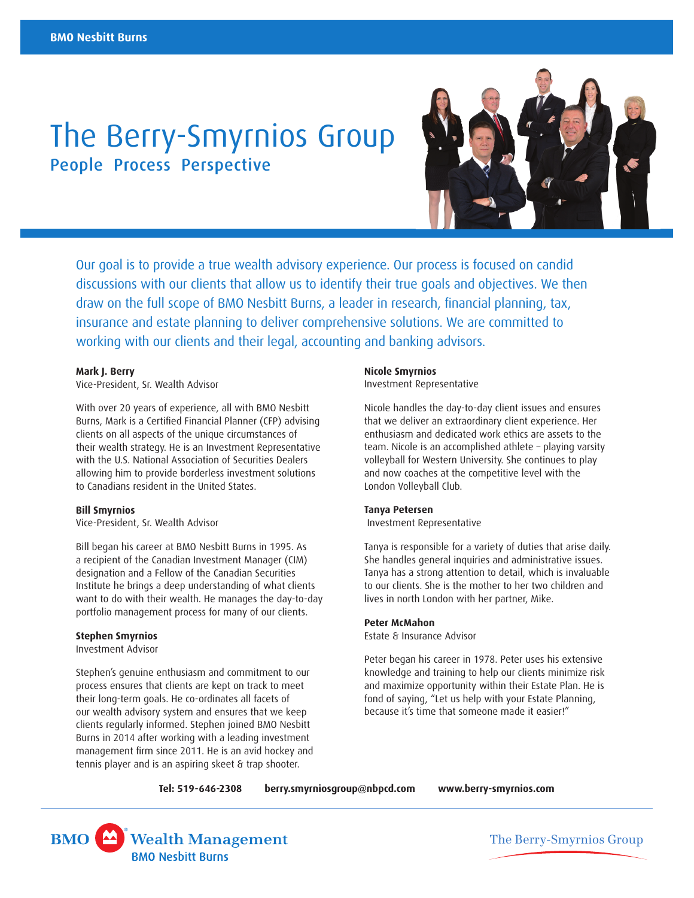# The Berry-Smyrnios Group People Process Perspective



Our goal is to provide a true wealth advisory experience. Our process is focused on candid discussions with our clients that allow us to identify their true goals and objectives. We then draw on the full scope of BMO Nesbitt Burns, a leader in research, financial planning, tax, insurance and estate planning to deliver comprehensive solutions. We are committed to working with our clients and their legal, accounting and banking advisors.

#### **Mark J. Berry**

Vice-President, Sr. Wealth Advisor

With over 20 years of experience, all with BMO Nesbitt Burns, Mark is a Certified Financial Planner (CFP) advising clients on all aspects of the unique circumstances of their wealth strategy. He is an Investment Representative with the U.S. National Association of Securities Dealers allowing him to provide borderless investment solutions to Canadians resident in the United States.

#### **Bill Smyrnios**

Vice-President, Sr. Wealth Advisor

Bill began his career at BMO Nesbitt Burns in 1995. As a recipient of the Canadian Investment Manager (CIM) designation and a Fellow of the Canadian Securities Institute he brings a deep understanding of what clients want to do with their wealth. He manages the day-to-day portfolio management process for many of our clients.

### **Stephen Smyrnios**

Investment Advisor

Stephen's genuine enthusiasm and commitment to our process ensures that clients are kept on track to meet their long-term goals. He co-ordinates all facets of our wealth advisory system and ensures that we keep clients regularly informed. Stephen joined BMO Nesbitt Burns in 2014 after working with a leading investment management firm since 2011. He is an avid hockey and tennis player and is an aspiring skeet & trap shooter.

#### **Nicole Smyrnios**

Investment Representative

Nicole handles the day-to-day client issues and ensures that we deliver an extraordinary client experience. Her enthusiasm and dedicated work ethics are assets to the team. Nicole is an accomplished athlete – playing varsity volleyball for Western University. She continues to play and now coaches at the competitive level with the London Volleyball Club.

#### **Tanya Petersen**

Investment Representative

Tanya is responsible for a variety of duties that arise daily. She handles general inquiries and administrative issues. Tanya has a strong attention to detail, which is invaluable to our clients. She is the mother to her two children and lives in north London with her partner, Mike.

#### **Peter McMahon**

Estate & Insurance Advisor

Peter began his career in 1978. Peter uses his extensive knowledge and training to help our clients minimize risk and maximize opportunity within their Estate Plan. He is fond of saying, "Let us help with your Estate Planning, because it's time that someone made it easier!"

**Tel: 519-646-2308** 

 **<berry.smyrniosgroup@nbpcd.com><www.berry-smyrnios.com>**



The Berry-Smyrnios Group